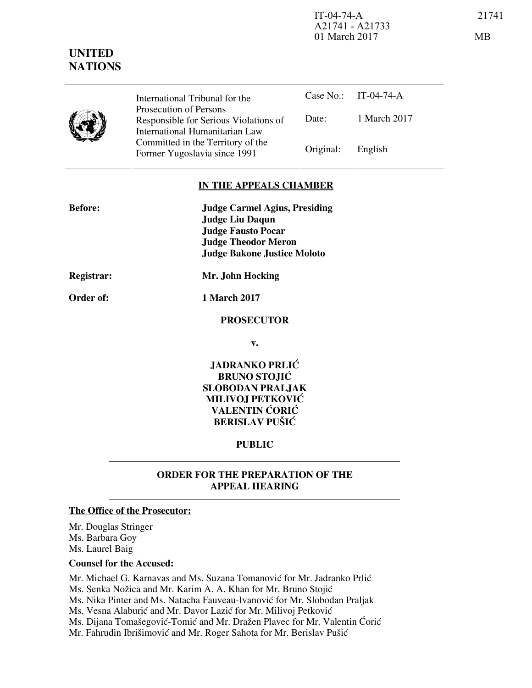IT-04-74-A 21741 A21741 - A21733 01 March 2017 MB

Case No.: IT-04-74-A

Date: 1 March 2017

# **IN THE APPEALS CHAMBER**

Former Yugoslavia since 1991 Original: English

| <b>Before:</b>    | <b>Judge Carmel Agius, Presiding</b> |
|-------------------|--------------------------------------|
|                   | <b>Judge Liu Daqun</b>               |
|                   | <b>Judge Fausto Pocar</b>            |
|                   | <b>Judge Theodor Meron</b>           |
|                   | <b>Judge Bakone Justice Moloto</b>   |
| <b>Registrar:</b> | Mr. John Hocking                     |
| Order of:         | 1 March 2017                         |
|                   | <b>PROSECUTOR</b>                    |
|                   | v.                                   |
|                   |                                      |

International Tribunal for the Prosecution of Persons

Responsible for Serious Violations of International Humanitarian Law Committed in the Territory of the

> **JADRANKO PRLIĆ BRUNO STOJIĆ SLOBODAN PRALJAK MILIVOJ PETKOVIĆ VALENTIN ĆORIĆ BERISLAV PUŠIĆ**

#### **PUBLIC**

## **ORDER FOR THE PREPARATION OF THE APPEAL HEARING**

## **The Office of the Prosecutor:**

Mr. Douglas Stringer Ms. Barbara Goy Ms. Laurel Baig

# **Counsel for the Accused:**

Mr. Michael G. Karnavas and Ms. Suzana Tomanović for Mr. Jadranko Prlić Ms. Senka Nožica and Mr. Karim A. A. Khan for Mr. Bruno Stojić Ms. Nika Pinter and Ms. Natacha Fauveau-Ivanović for Mr. Slobodan Praljak Ms. Vesna Alaburić and Mr. Davor Lazić for Mr. Milivoj Petković Ms. Dijana Tomašegović-Tomić and Mr. Dražen Plavec for Mr. Valentin Ćorić Mr. Fahrudin Ibrišimović and Mr. Roger Sahota for Mr. Berislav Pušić

# **UNITED NATIONS**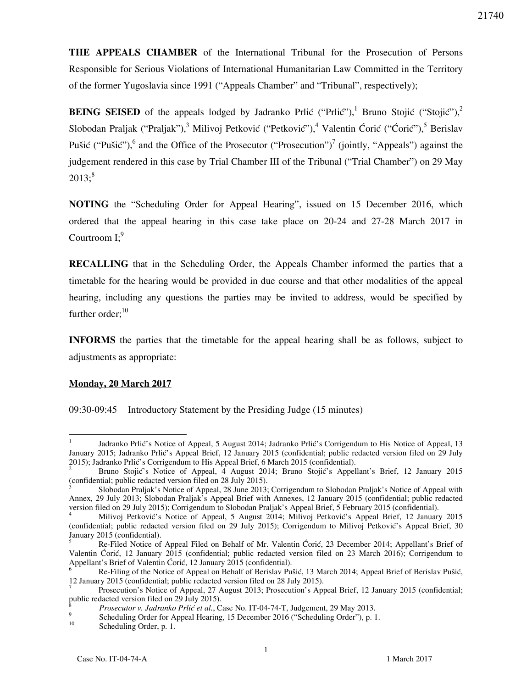**THE APPEALS CHAMBER** of the International Tribunal for the Prosecution of Persons Responsible for Serious Violations of International Humanitarian Law Committed in the Territory of the former Yugoslavia since 1991 ("Appeals Chamber" and "Tribunal", respectively);

**BEING SEISED** of the appeals lodged by Jadranko Prlić ("Prlić"),<sup>1</sup> Bruno Stojić ("Stojić"),<sup>2</sup> Slobodan Praljak ("Praljak"),<sup>3</sup> Milivoj Petković ("Petković"),<sup>4</sup> Valentin Ćorić ("Ćorić"),<sup>5</sup> Berislav Pušić ("Pušić"),<sup>6</sup> and the Office of the Prosecutor ("Prosecution")<sup>7</sup> (jointly, "Appeals") against the judgement rendered in this case by Trial Chamber III of the Tribunal ("Trial Chamber") on 29 May  $2013$ ;<sup>8</sup>

**NOTING** the "Scheduling Order for Appeal Hearing", issued on 15 December 2016, which ordered that the appeal hearing in this case take place on 20-24 and 27-28 March 2017 in Courtroom  $I$ :<sup>9</sup>

**RECALLING** that in the Scheduling Order, the Appeals Chamber informed the parties that a timetable for the hearing would be provided in due course and that other modalities of the appeal hearing, including any questions the parties may be invited to address, would be specified by further order; $10$ 

**INFORMS** the parties that the timetable for the appeal hearing shall be as follows, subject to adjustments as appropriate:

#### **Monday, 20 March 2017**

09:30-09:45 Introductory Statement by the Presiding Judge (15 minutes)

<sup>-</sup>1 Jadranko Prlić's Notice of Appeal, 5 August 2014; Jadranko Prlić's Corrigendum to His Notice of Appeal, 13 January 2015; Jadranko Prlić's Appeal Brief, 12 January 2015 (confidential; public redacted version filed on 29 July 2015); Jadranko Prlić's Corrigendum to His Appeal Brief, 6 March 2015 (confidential).

<sup>2</sup> Bruno Stojić's Notice of Appeal, 4 August 2014; Bruno Stojić's Appellant's Brief, 12 January 2015 (confidential; public redacted version filed on 28 July 2015).

<sup>3</sup> Slobodan Praljak's Notice of Appeal, 28 June 2013; Corrigendum to Slobodan Praljak's Notice of Appeal with Annex, 29 July 2013; Slobodan Praljak's Appeal Brief with Annexes, 12 January 2015 (confidential; public redacted version filed on 29 July 2015); Corrigendum to Slobodan Praljak's Appeal Brief, 5 February 2015 (confidential).<br><sup>4</sup> Militari Betkević's Notice of Appeal, 5 Avevet 2014; Militari Betkević's Appeal Brief, 12 January

Milivoj Petković's Notice of Appeal, 5 August 2014; Milivoj Petković's Appeal Brief, 12 January 2015 (confidential; public redacted version filed on 29 July 2015); Corrigendum to Milivoj Petković's Appeal Brief, 30 January 2015 (confidential).

<sup>5</sup> Re-Filed Notice of Appeal Filed on Behalf of Mr. Valentin Ćorić, 23 December 2014; Appellant's Brief of Valentin Ćorić, 12 January 2015 (confidential; public redacted version filed on 23 March 2016); Corrigendum to Appellant's Brief of Valentin Ćorić, 12 January 2015 (confidential).<br>
<sup>6</sup> Be Filips of the Notice of Appell on Behelf of Bericley By

Re-Filing of the Notice of Appeal on Behalf of Berislav Pušić, 13 March 2014; Appeal Brief of Berislav Pušić, 12 January 2015 (confidential; public redacted version filed on 28 July 2015).

<sup>7</sup> Prosecution's Notice of Appeal, 27 August 2013; Prosecution's Appeal Brief, 12 January 2015 (confidential; public redacted version filed on 29 July 2015).

<sup>8</sup> *Prosecutor v. Jadranko Prli} et al.*, Case No. IT-04-74-T, Judgement, 29 May 2013.

<sup>9</sup> Scheduling Order for Appeal Hearing, 15 December 2016 ("Scheduling Order"), p. 1.

Scheduling Order, p. 1.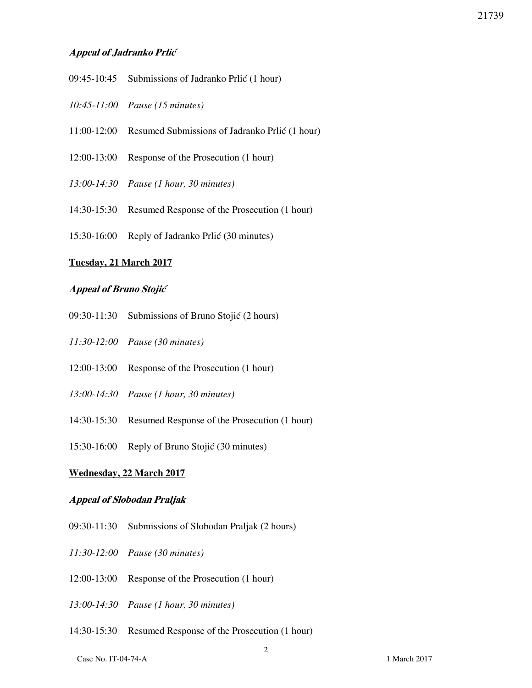# **Appeal of Jadranko Prli}**

- $09:45-10:45$  Submissions of Jadranko Prlić (1 hour)
- *10:45-11:00 Pause (15 minutes)*
- 11:00-12:00 Resumed Submissions of Jadranko Prlić (1 hour)
- 12:00-13:00 Response of the Prosecution (1 hour)
- *13:00-14:30 Pause (1 hour, 30 minutes)*
- 14:30-15:30 Resumed Response of the Prosecution (1 hour)
- $15:30-16:00$  Reply of Jadranko Prlić (30 minutes)

#### **Tuesday, 21 March 2017**

#### **Appeal of Bruno Stojić**

- $09:30-11:30$  Submissions of Bruno Stojić (2 hours)
- *11:30-12:00 Pause (30 minutes)*
- 12:00-13:00 Response of the Prosecution (1 hour)
- *13:00-14:30 Pause (1 hour, 30 minutes)*
- 14:30-15:30 Resumed Response of the Prosecution (1 hour)
- 15:30-16:00 Reply of Bruno Stojić (30 minutes)

#### **Wednesday, 22 March 2017**

#### **Appeal of Slobodan Praljak**

- 09:30-11:30 Submissions of Slobodan Praljak (2 hours)
- *11:30-12:00 Pause (30 minutes)*
- 12:00-13:00 Response of the Prosecution (1 hour)
- *13:00-14:30 Pause (1 hour, 30 minutes)*
- 14:30-15:30 Resumed Response of the Prosecution (1 hour)

Case No. IT-04-74-A 1 March 2017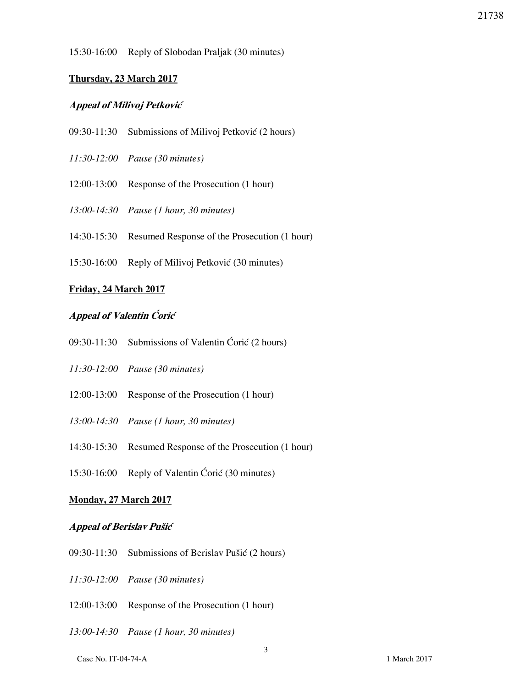15:30-16:00 Reply of Slobodan Praljak (30 minutes)

## **Thursday, 23 March 2017**

# **Appeal of Milivoj Petković**

- $09:30-11:30$  Submissions of Milivoj Petković (2 hours)
- *11:30-12:00 Pause (30 minutes)*
- 12:00-13:00 Response of the Prosecution (1 hour)
- *13:00-14:30 Pause (1 hour, 30 minutes)*
- 14:30-15:30 Resumed Response of the Prosecution (1 hour)
- 15:30-16:00 Reply of Milivoj Petković (30 minutes)

## **Friday, 24 March 2017**

# **Appeal of Valentin Coric**

- 09:30-11:30 Submissions of Valentin Ćorić (2 hours)
- *11:30-12:00 Pause (30 minutes)*
- 12:00-13:00 Response of the Prosecution (1 hour)
- *13:00-14:30 Pause (1 hour, 30 minutes)*
- 14:30-15:30 Resumed Response of the Prosecution (1 hour)
- $15:30-16:00$  Reply of Valentin Ćorić (30 minutes)

## **Monday, 27 March 2017**

## **Appeal of Berislav Pušić**

- $09:30-11:30$  Submissions of Berislav Pušić (2 hours)
- *11:30-12:00 Pause (30 minutes)*
- 12:00-13:00 Response of the Prosecution (1 hour)
- *13:00-14:30 Pause (1 hour, 30 minutes)*

Case No. IT-04-74-A 1 March 2017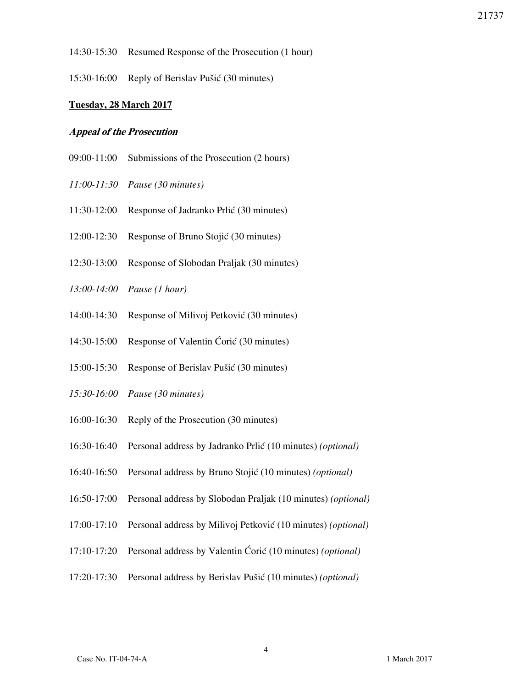- 14:30-15:30 Resumed Response of the Prosecution (1 hour)
- $15:30-16:00$  Reply of Berislav Pušić (30 minutes)

## **Tuesday, 28 March 2017**

#### **Appeal of the Prosecution**

- 09:00-11:00 Submissions of the Prosecution (2 hours)
- *11:00-11:30 Pause (30 minutes)*
- 11:30-12:00 Response of Jadranko Prlić (30 minutes)
- 12:00-12:30 Response of Bruno Stojić (30 minutes)
- 12:30-13:00 Response of Slobodan Praljak (30 minutes)
- *13:00-14:00 Pause (1 hour)*
- 14:00-14:30 Response of Milivoj Petković (30 minutes)
- 14:30-15:00 Response of Valentin Ćorić (30 minutes)
- 15:00-15:30 Response of Berislav Pušić (30 minutes)
- *15:30-16:00 Pause (30 minutes)*
- 16:00-16:30 Reply of the Prosecution (30 minutes)
- 16:30-16:40 Personal address by Jadranko Prli} (10 minutes) *(optional)*
- 16:40-16:50 Personal address by Bruno Stojić (10 minutes) *(optional)*
- 16:50-17:00 Personal address by Slobodan Praljak (10 minutes) *(optional)*
- 17:00-17:10 Personal address by Milivoj Petković (10 minutes) *(optional)*
- 17:10-17:20 Personal address by Valentin Ćorić (10 minutes) *(optional)*
- 17:20-17:30 Personal address by Berislav Pu{i} (10 minutes) *(optional)*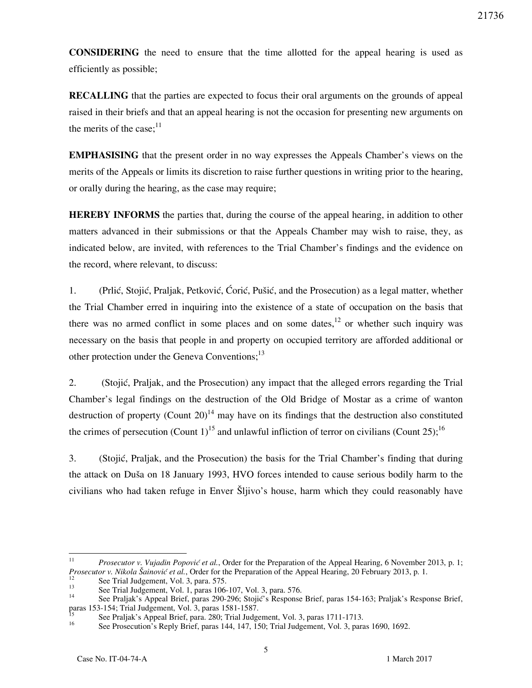**CONSIDERING** the need to ensure that the time allotted for the appeal hearing is used as efficiently as possible;

**RECALLING** that the parties are expected to focus their oral arguments on the grounds of appeal raised in their briefs and that an appeal hearing is not the occasion for presenting new arguments on the merits of the case; $^{11}$ 

**EMPHASISING** that the present order in no way expresses the Appeals Chamber's views on the merits of the Appeals or limits its discretion to raise further questions in writing prior to the hearing, or orally during the hearing, as the case may require;

**HEREBY INFORMS** the parties that, during the course of the appeal hearing, in addition to other matters advanced in their submissions or that the Appeals Chamber may wish to raise, they, as indicated below, are invited, with references to the Trial Chamber's findings and the evidence on the record, where relevant, to discuss:

1. (Prlić, Stojić, Praljak, Petković, Ćorić, Pušić, and the Prosecution) as a legal matter, whether the Trial Chamber erred in inquiring into the existence of a state of occupation on the basis that there was no armed conflict in some places and on some dates,<sup>12</sup> or whether such inquiry was necessary on the basis that people in and property on occupied territory are afforded additional or other protection under the Geneva Conventions;<sup>13</sup>

2. (Stojić, Praljak, and the Prosecution) any impact that the alleged errors regarding the Trial Chamber's legal findings on the destruction of the Old Bridge of Mostar as a crime of wanton destruction of property (Count 20)<sup>14</sup> may have on its findings that the destruction also constituted the crimes of persecution (Count 1)<sup>15</sup> and unlawful infliction of terror on civilians (Count 25);<sup>16</sup>

3. (Stojić, Praljak, and the Prosecution) the basis for the Trial Chamber's finding that during the attack on Duša on 18 January 1993, HVO forces intended to cause serious bodily harm to the civilians who had taken refuge in Enver Sljivo's house, harm which they could reasonably have

 $\frac{1}{11}$ *Prosecutor v. Vujadin Popović et al.*, Order for the Preparation of the Appeal Hearing, 6 November 2013, p. 1; *Prosecutor v. Nikola [ainovi} et al.*, Order for the Preparation of the Appeal Hearing, 20 February 2013, p. 1.

<sup>&</sup>lt;sup>12</sup> See Trial Judgement, Vol. 3, para. 575.<br><sup>13</sup> See Trial Judgement, Vol. 1, para. 106

<sup>&</sup>lt;sup>13</sup> See Trial Judgement, Vol. 1, paras 106-107, Vol. 3, para. 576.

See Praljak's Appeal Brief, paras 290-296; Stojić's Response Brief, paras 154-163; Praljak's Response Brief, paras 153-154; Trial Judgement, Vol. 3, paras 1581-1587.

<sup>&</sup>lt;sup>15</sup> See Praljak's Appeal Brief, para. 280; Trial Judgement, Vol. 3, paras 1711-1713.<br><sup>16</sup> See Praceaution's Bank: Brief, paras 144, 147, 150; Trial Judgement, Vol. 3, para

See Prosecution's Reply Brief, paras 144, 147, 150; Trial Judgement, Vol. 3, paras 1690, 1692.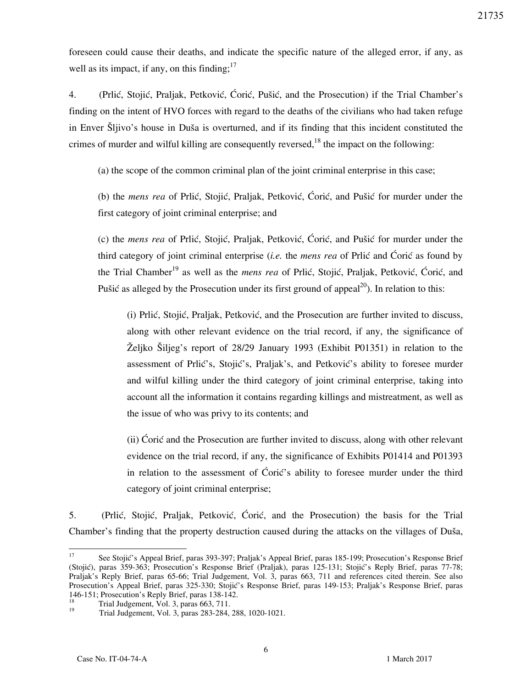foreseen could cause their deaths, and indicate the specific nature of the alleged error, if any, as well as its impact, if any, on this finding;  $17$ 

4. (Prlić, Stojić, Praljak, Petković, Ćorić, Pušić, and the Prosecution) if the Trial Chamber's finding on the intent of HVO forces with regard to the deaths of the civilians who had taken refuge in Enver Šljivo's house in Duša is overturned, and if its finding that this incident constituted the crimes of murder and wilful killing are consequently reversed,  $18$  the impact on the following:

(a) the scope of the common criminal plan of the joint criminal enterprise in this case;

(b) the *mens rea* of Prlić, Stojić, Praljak, Petković, Ćorić, and Pušić for murder under the first category of joint criminal enterprise; and

(c) the *mens rea* of Prlić, Stojić, Praljak, Petković, Ćorić, and Pušić for murder under the third category of joint criminal enterprise *(i.e.* the *mens rea* of Prlic and Coric as found by the Trial Chamber<sup>19</sup> as well as the *mens rea* of Prlić, Stojić, Praljak, Petković, Ćorić, and Pušić as alleged by the Prosecution under its first ground of appeal<sup>20</sup>). In relation to this:

(i) Prlić, Stojić, Praljak, Petković, and the Prosecution are further invited to discuss, along with other relevant evidence on the trial record, if any, the significance of  $\tilde{Z}$ eljko  $\tilde{S}$ iljeg's report of 28/29 January 1993 (Exhibit P01351) in relation to the assessment of Prlić's, Stojić's, Praljak's, and Petković's ability to foresee murder and wilful killing under the third category of joint criminal enterprise, taking into account all the information it contains regarding killings and mistreatment, as well as the issue of who was privy to its contents; and

(ii) Coric and the Prosecution are further invited to discuss, along with other relevant evidence on the trial record, if any, the significance of Exhibits P01414 and P01393 in relation to the assessment of Ćorić's ability to foresee murder under the third category of joint criminal enterprise;

5. (Prlić, Stojić, Praljak, Petković, Ćorić, and the Prosecution) the basis for the Trial Chamber's finding that the property destruction caused during the attacks on the villages of Duša,

 $17\,$ See Stojić's Appeal Brief, paras 393-397; Praljak's Appeal Brief, paras 185-199; Prosecution's Response Brief (Stojić), paras 359-363; Prosecution's Response Brief (Praljak), paras 125-131; Stojić's Reply Brief, paras 77-78; Praljak's Reply Brief, paras 65-66; Trial Judgement, Vol. 3, paras 663, 711 and references cited therein. See also Prosecution's Appeal Brief, paras 325-330; Stojić's Response Brief, paras 149-153; Praljak's Response Brief, paras 146-151; Prosecution's Reply Brief, paras 138-142.

<sup>&</sup>lt;sup>18</sup> Trial Judgement, Vol. 3, paras 663, 711.

<sup>19</sup> Trial Judgement, Vol. 3, paras 283-284, 288, 1020-1021.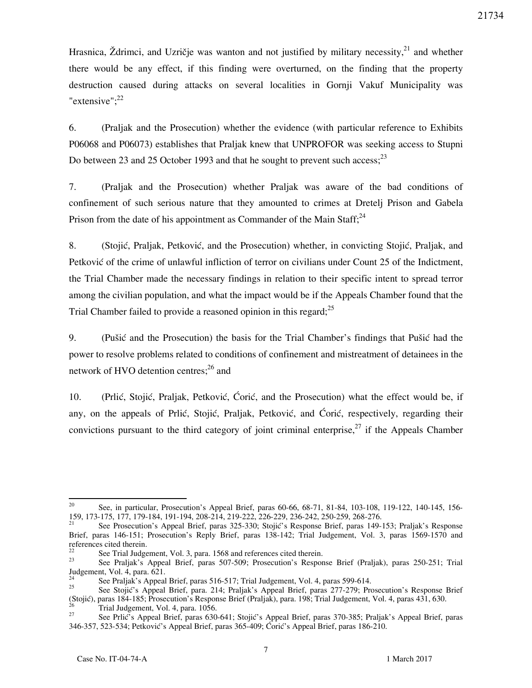Hrasnica, Ždrimci, and Uzričje was wanton and not justified by military necessity,<sup>21</sup> and whether there would be any effect, if this finding were overturned, on the finding that the property destruction caused during attacks on several localities in Gornji Vakuf Municipality was "extensive"; $^{22}$ 

6. (Praljak and the Prosecution) whether the evidence (with particular reference to Exhibits P06068 and P06073) establishes that Praljak knew that UNPROFOR was seeking access to Stupni Do between 23 and 25 October 1993 and that he sought to prevent such access;  $^{23}$ 

7. (Praljak and the Prosecution) whether Praljak was aware of the bad conditions of confinement of such serious nature that they amounted to crimes at Dretelj Prison and Gabela Prison from the date of his appointment as Commander of the Main Staff; $^{24}$ 

8. (Stojić, Praljak, Petković, and the Prosecution) whether, in convicting Stojić, Praljak, and Petković of the crime of unlawful infliction of terror on civilians under Count 25 of the Indictment, the Trial Chamber made the necessary findings in relation to their specific intent to spread terror among the civilian population, and what the impact would be if the Appeals Chamber found that the Trial Chamber failed to provide a reasoned opinion in this regard;<sup>25</sup>

9. (Pušić and the Prosecution) the basis for the Trial Chamber's findings that Pušić had the power to resolve problems related to conditions of confinement and mistreatment of detainees in the network of HVO detention centres; $^{26}$  and

10. (Prlić, Stojić, Praljak, Petković, Ćorić, and the Prosecution) what the effect would be, if any, on the appeals of Prlić, Stojić, Praljak, Petković, and Ćorić, respectively, regarding their convictions pursuant to the third category of joint criminal enterprise, $27$  if the Appeals Chamber

<sup>20</sup> <sup>20</sup> See, in particular, Prosecution's Appeal Brief, paras 60-66, 68-71, 81-84, 103-108, 119-122, 140-145, 156- 159, 173-175, 177, 179-184, 191-194, 208-214, 219-222, 226-229, 236-242, 250-259, 268-276.

See Prosecution's Appeal Brief, paras 325-330; Stojić's Response Brief, paras 149-153; Praljak's Response Brief, paras 146-151; Prosecution's Reply Brief, paras 138-142; Trial Judgement, Vol. 3, paras 1569-1570 and references cited therein.

<sup>&</sup>lt;sup>22</sup> See Trial Judgement, Vol. 3, para. 1568 and references cited therein.<br><sup>23</sup> See Prelight's Annael Brief, paras. 507, 500; Presequitor's Beapon

<sup>23</sup> See Praljak's Appeal Brief, paras 507-509; Prosecution's Response Brief (Praljak), paras 250-251; Trial Judgement, Vol. 4, para. 621.

<sup>&</sup>lt;sup>24</sup> See Praljak's Appeal Brief, paras 516-517; Trial Judgement, Vol. 4, paras 599-614.<br><sup>25</sup> See Stoiiá's Appeal Brief, para. 214: Praljak's Appeal Brief, paras 277, 270; Pra

See Stojić's Appeal Brief, para. 214; Praljak's Appeal Brief, paras 277-279; Prosecution's Response Brief (Stojić), paras 184-185; Prosecution's Response Brief (Praljak), para. 198; Trial Judgement, Vol. 4, paras 431, 630.

<sup>&</sup>lt;sup>26</sup> Trial Judgement, Vol. 4, para. 1056.

See Prlić's Appeal Brief, paras 630-641; Stojić's Appeal Brief, paras 370-385; Praljak's Appeal Brief, paras 346-357, 523-534; Petković's Appeal Brief, paras 365-409; Ćorić's Appeal Brief, paras 186-210.